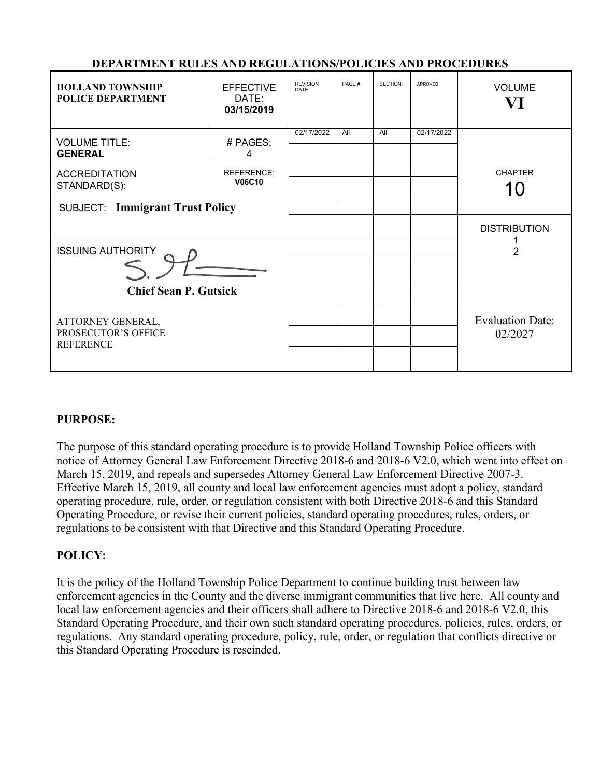| <b>DEPARTMENT RULES AND REGULATIONS/POLICIES AND PROCEDURES</b> |
|-----------------------------------------------------------------|
|-----------------------------------------------------------------|

| <b>HOLLAND TOWNSHIP</b><br><b>POLICE DEPARTMENT</b>          | <b>EFFECTIVE</b><br>DATE:<br>03/15/2019 | <b>REVISION</b><br>DATE: | PAGE #: | SECTION: | <b>APROVED</b> | <b>VOLUME</b><br>VI                |
|--------------------------------------------------------------|-----------------------------------------|--------------------------|---------|----------|----------------|------------------------------------|
| <b>VOLUME TITLE:</b><br><b>GENERAL</b>                       | # PAGES:<br>4                           | 02/17/2022               | All     | All      | 02/17/2022     |                                    |
| <b>ACCREDITATION</b><br>STANDARD(S):                         | <b>REFERENCE:</b><br><b>V06C10</b>      |                          |         |          |                | <b>CHAPTER</b><br>10               |
| <b>SUBJECT: Immigrant Trust Policy</b>                       |                                         |                          |         |          |                |                                    |
| <b>ISSUING AUTHORITY</b>                                     |                                         |                          |         |          |                | <b>DISTRIBUTION</b><br>2           |
| <b>Chief Sean P. Gutsick</b>                                 |                                         |                          |         |          |                |                                    |
| ATTORNEY GENERAL,<br>PROSECUTOR'S OFFICE<br><b>REFERENCE</b> |                                         |                          |         |          |                | <b>Evaluation Date:</b><br>02/2027 |

# **PURPOSE:**

The purpose of this standard operating procedure is to provide Holland Township Police officers with notice of Attorney General Law Enforcement Directive 2018-6 and 2018-6 V2.0, which went into effect on March 15, 2019, and repeals and supersedes Attorney General Law Enforcement Directive 2007-3. Effective March 15, 2019, all county and local law enforcement agencies must adopt a policy, standard operating procedure, rule, order, or regulation consistent with both Directive 2018-6 and this Standard Operating Procedure, or revise their current policies, standard operating procedures, rules, orders, or regulations to be consistent with that Directive and this Standard Operating Procedure.

#### **POLICY:**

It is the policy of the Holland Township Police Department to continue building trust between law enforcement agencies in the County and the diverse immigrant communities that live here. All county and local law enforcement agencies and their officers shall adhere to Directive 2018-6 and 2018-6 V2.0, this Standard Operating Procedure, and their own such standard operating procedures, policies, rules, orders, or regulations. Any standard operating procedure, policy, rule, order, or regulation that conflicts directive or this Standard Operating Procedure is rescinded.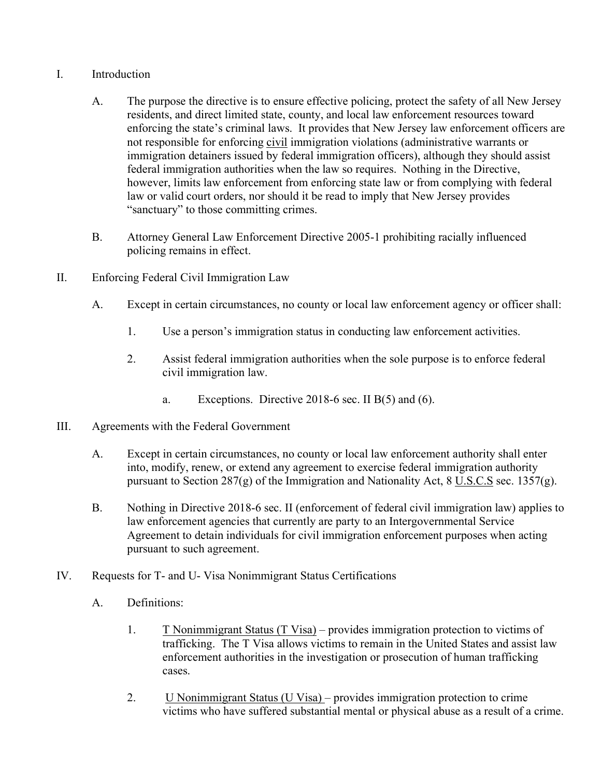# I. Introduction

- A. The purpose the directive is to ensure effective policing, protect the safety of all New Jersey residents, and direct limited state, county, and local law enforcement resources toward enforcing the state's criminal laws. It provides that New Jersey law enforcement officers are not responsible for enforcing civil immigration violations (administrative warrants or immigration detainers issued by federal immigration officers), although they should assist federal immigration authorities when the law so requires. Nothing in the Directive, however, limits law enforcement from enforcing state law or from complying with federal law or valid court orders, nor should it be read to imply that New Jersey provides "sanctuary" to those committing crimes.
- B. Attorney General Law Enforcement Directive 2005-1 prohibiting racially influenced policing remains in effect.
- II. Enforcing Federal Civil Immigration Law
	- A. Except in certain circumstances, no county or local law enforcement agency or officer shall:
		- 1. Use a person's immigration status in conducting law enforcement activities.
		- 2. Assist federal immigration authorities when the sole purpose is to enforce federal civil immigration law.
			- a. Exceptions. Directive 2018-6 sec. II  $B(5)$  and (6).
- III. Agreements with the Federal Government
	- A. Except in certain circumstances, no county or local law enforcement authority shall enter into, modify, renew, or extend any agreement to exercise federal immigration authority pursuant to Section 287(g) of the Immigration and Nationality Act,  $8 \underline{\text{U.S.C.S}}$  sec. 1357(g).
	- B. Nothing in Directive 2018-6 sec. II (enforcement of federal civil immigration law) applies to law enforcement agencies that currently are party to an Intergovernmental Service Agreement to detain individuals for civil immigration enforcement purposes when acting pursuant to such agreement.
- IV. Requests for T- and U- Visa Nonimmigrant Status Certifications
	- A. Definitions:
		- 1. T Nonimmigrant Status  $(T \text{ Visa})$  provides immigration protection to victims of trafficking. The T Visa allows victims to remain in the United States and assist law enforcement authorities in the investigation or prosecution of human trafficking cases.
		- 2. U Nonimmigrant Status (U Visa) provides immigration protection to crime victims who have suffered substantial mental or physical abuse as a result of a crime.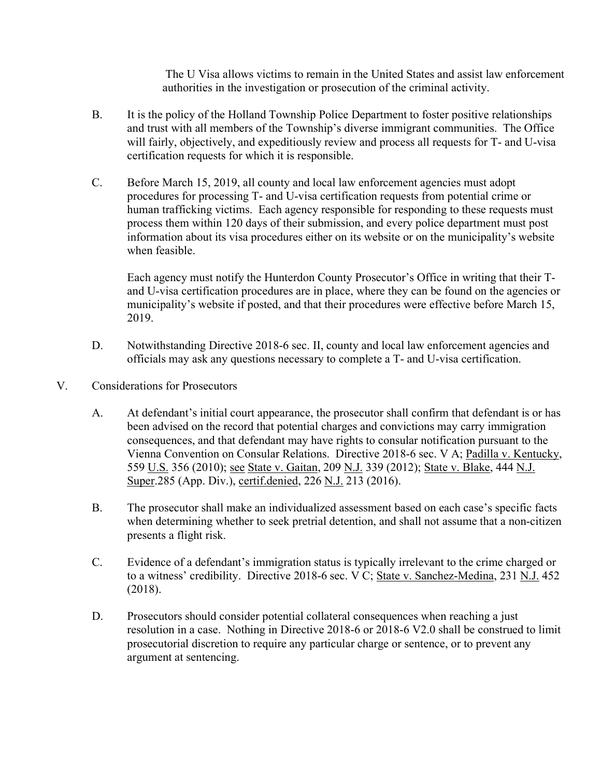The U Visa allows victims to remain in the United States and assist law enforcement authorities in the investigation or prosecution of the criminal activity.

- B. It is the policy of the Holland Township Police Department to foster positive relationships and trust with all members of the Township's diverse immigrant communities. The Office will fairly, objectively, and expeditiously review and process all requests for T- and U-visa certification requests for which it is responsible.
- C. Before March 15, 2019, all county and local law enforcement agencies must adopt procedures for processing T- and U-visa certification requests from potential crime or human trafficking victims. Each agency responsible for responding to these requests must process them within 120 days of their submission, and every police department must post information about its visa procedures either on its website or on the municipality's website when feasible.

Each agency must notify the Hunterdon County Prosecutor's Office in writing that their Tand U-visa certification procedures are in place, where they can be found on the agencies or municipality's website if posted, and that their procedures were effective before March 15, 2019.

- D. Notwithstanding Directive 2018-6 sec. II, county and local law enforcement agencies and officials may ask any questions necessary to complete a T- and U-visa certification.
- V. Considerations for Prosecutors
	- A. At defendant's initial court appearance, the prosecutor shall confirm that defendant is or has been advised on the record that potential charges and convictions may carry immigration consequences, and that defendant may have rights to consular notification pursuant to the Vienna Convention on Consular Relations. Directive 2018-6 sec. V A; Padilla v. Kentucky, 559 U.S. 356 (2010); see State v. Gaitan, 209 N.J. 339 (2012); State v. Blake, 444 N.J. Super.285 (App. Div.), certif.denied, 226 N.J. 213 (2016).
	- B. The prosecutor shall make an individualized assessment based on each case's specific facts when determining whether to seek pretrial detention, and shall not assume that a non-citizen presents a flight risk.
	- C. Evidence of a defendant's immigration status is typically irrelevant to the crime charged or to a witness' credibility. Directive 2018-6 sec. V C; State v. Sanchez-Medina, 231 N.J. 452 (2018).
	- D. Prosecutors should consider potential collateral consequences when reaching a just resolution in a case. Nothing in Directive 2018-6 or 2018-6 V2.0 shall be construed to limit prosecutorial discretion to require any particular charge or sentence, or to prevent any argument at sentencing.